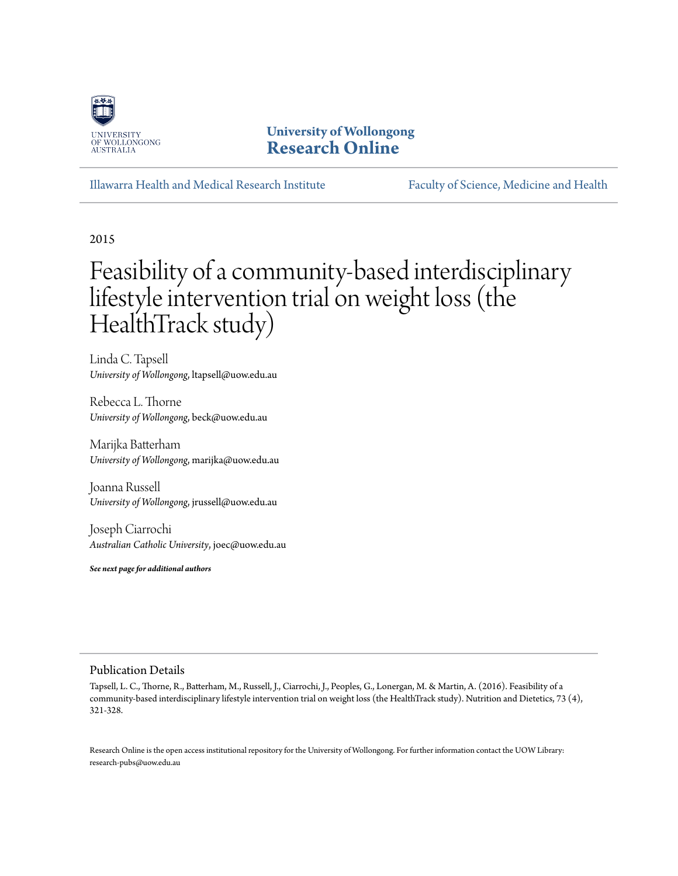

### **University of Wollongong [Research Online](http://ro.uow.edu.au)**

[Illawarra Health and Medical Research Institute](http://ro.uow.edu.au/ihmri) [Faculty of Science, Medicine and Health](http://ro.uow.edu.au/smh)

2015

# Feasibility of a community-based interdisciplinary lifestyle intervention trial on weight loss (the HealthTrack study)

Linda C. Tapsell *University of Wollongong*, ltapsell@uow.edu.au

Rebecca L. Thorne *University of Wollongong*, beck@uow.edu.au

Marijka Batterham *University of Wollongong*, marijka@uow.edu.au

Joanna Russell *University of Wollongong*, jrussell@uow.edu.au

Joseph Ciarrochi *Australian Catholic University*, joec@uow.edu.au

*See next page for additional authors*

#### Publication Details

Tapsell, L. C., Thorne, R., Batterham, M., Russell, J., Ciarrochi, J., Peoples, G., Lonergan, M. & Martin, A. (2016). Feasibility of a community-based interdisciplinary lifestyle intervention trial on weight loss (the HealthTrack study). Nutrition and Dietetics, 73 (4), 321-328.

Research Online is the open access institutional repository for the University of Wollongong. For further information contact the UOW Library: research-pubs@uow.edu.au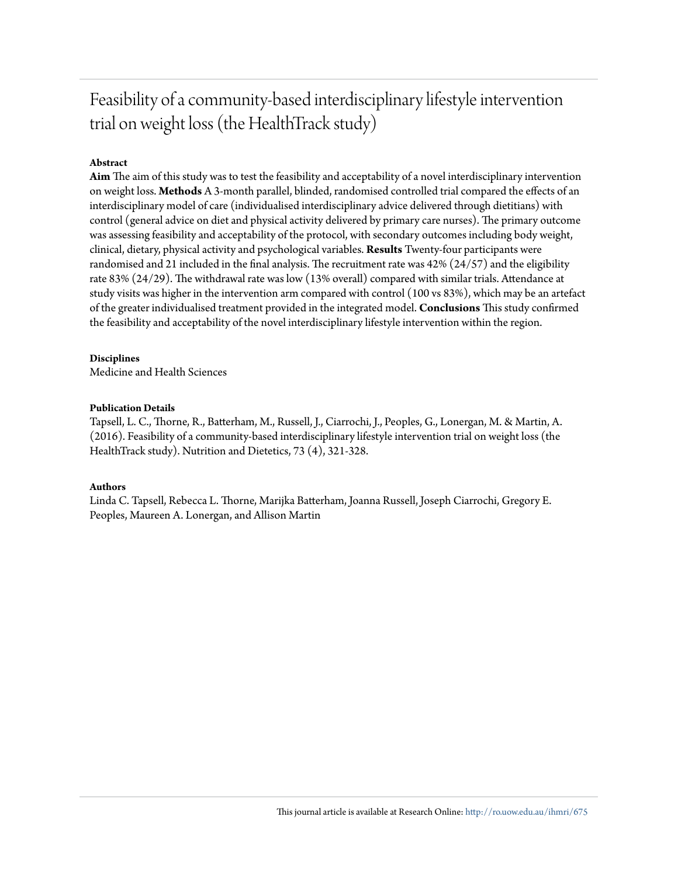### Feasibility of a community-based interdisciplinary lifestyle intervention trial on weight loss (the HealthTrack study)

#### **Abstract**

**Aim** The aim of this study was to test the feasibility and acceptability of a novel interdisciplinary intervention on weight loss. **Methods** A 3-month parallel, blinded, randomised controlled trial compared the effects of an interdisciplinary model of care (individualised interdisciplinary advice delivered through dietitians) with control (general advice on diet and physical activity delivered by primary care nurses). The primary outcome was assessing feasibility and acceptability of the protocol, with secondary outcomes including body weight, clinical, dietary, physical activity and psychological variables. **Results** Twenty-four participants were randomised and 21 included in the final analysis. The recruitment rate was 42% (24/57) and the eligibility rate 83% (24/29). The withdrawal rate was low (13% overall) compared with similar trials. Attendance at study visits was higher in the intervention arm compared with control (100 vs 83%), which may be an artefact of the greater individualised treatment provided in the integrated model. **Conclusions** This study confirmed the feasibility and acceptability of the novel interdisciplinary lifestyle intervention within the region.

#### **Disciplines**

Medicine and Health Sciences

#### **Publication Details**

Tapsell, L. C., Thorne, R., Batterham, M., Russell, J., Ciarrochi, J., Peoples, G., Lonergan, M. & Martin, A. (2016). Feasibility of a community-based interdisciplinary lifestyle intervention trial on weight loss (the HealthTrack study). Nutrition and Dietetics, 73 (4), 321-328.

#### **Authors**

Linda C. Tapsell, Rebecca L. Thorne, Marijka Batterham, Joanna Russell, Joseph Ciarrochi, Gregory E. Peoples, Maureen A. Lonergan, and Allison Martin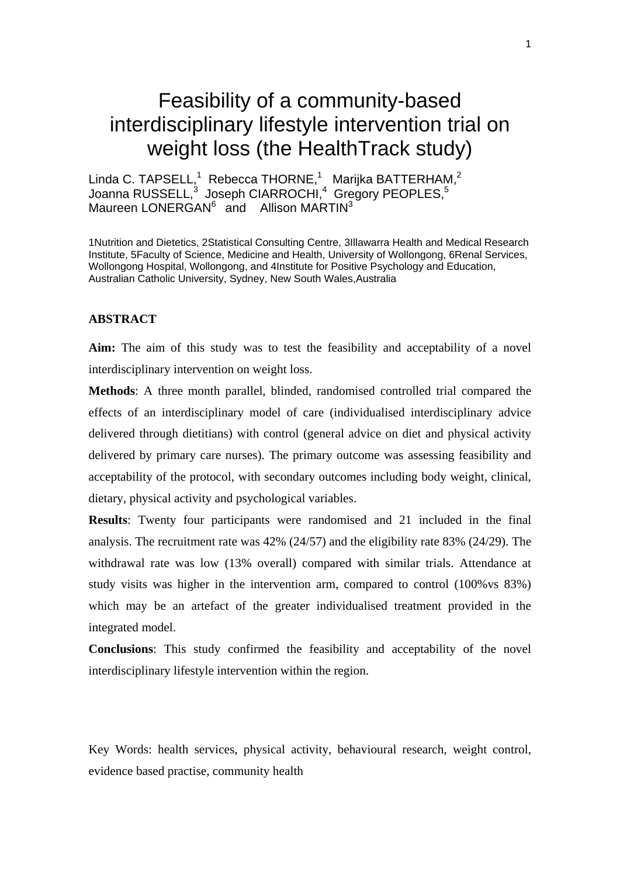## Feasibility of a community-based interdisciplinary lifestyle intervention trial on weight loss (the HealthTrack study)

Linda C. TAPSELL,<sup>1</sup> Rebecca THORNE,<sup>1</sup> Marijka BATTERHAM,<sup>2</sup> Joanna RUSSELL, $^3$  Joseph CIARROCHI, $^4$  Gregory PEOPLES, $^5$ Maureen LONERGAN<sup>6</sup> and Allison MARTIN<sup>3</sup>

1Nutrition and Dietetics, 2Statistical Consulting Centre, 3Illawarra Health and Medical Research Institute, 5Faculty of Science, Medicine and Health, University of Wollongong, 6Renal Services, Wollongong Hospital, Wollongong, and 4Institute for Positive Psychology and Education, Australian Catholic University, Sydney, New South Wales,Australia

#### **ABSTRACT**

**Aim:** The aim of this study was to test the feasibility and acceptability of a novel interdisciplinary intervention on weight loss.

**Methods**: A three month parallel, blinded, randomised controlled trial compared the effects of an interdisciplinary model of care (individualised interdisciplinary advice delivered through dietitians) with control (general advice on diet and physical activity delivered by primary care nurses). The primary outcome was assessing feasibility and acceptability of the protocol, with secondary outcomes including body weight, clinical, dietary, physical activity and psychological variables.

**Results**: Twenty four participants were randomised and 21 included in the final analysis. The recruitment rate was 42% (24/57) and the eligibility rate 83% (24/29). The withdrawal rate was low (13% overall) compared with similar trials. Attendance at study visits was higher in the intervention arm, compared to control (100%vs 83%) which may be an artefact of the greater individualised treatment provided in the integrated model.

**Conclusions**: This study confirmed the feasibility and acceptability of the novel interdisciplinary lifestyle intervention within the region.

Key Words: health services, physical activity, behavioural research, weight control, evidence based practise, community health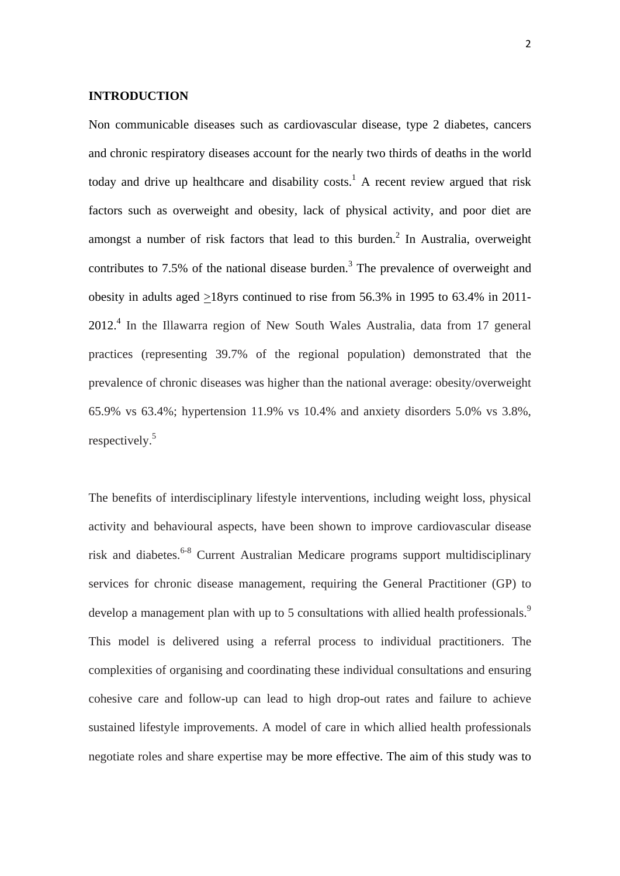#### **INTRODUCTION**

Non communicable diseases such as cardiovascular disease, type 2 diabetes, cancers and chronic respiratory diseases account for the nearly two thirds of deaths in the world today and drive up healthcare and disability costs.<sup>1</sup> A recent review argued that risk factors such as overweight and obesity, lack of physical activity, and poor diet are amongst a number of risk factors that lead to this burden.<sup>2</sup> In Australia, overweight contributes to 7.5% of the national disease burden.<sup>3</sup> The prevalence of overweight and obesity in adults aged >18yrs continued to rise from 56.3% in 1995 to 63.4% in 2011- 2012.4 In the Illawarra region of New South Wales Australia, data from 17 general practices (representing 39.7% of the regional population) demonstrated that the prevalence of chronic diseases was higher than the national average: obesity/overweight 65.9% vs 63.4%; hypertension 11.9% vs 10.4% and anxiety disorders 5.0% vs 3.8%, respectively.5

The benefits of interdisciplinary lifestyle interventions, including weight loss, physical activity and behavioural aspects, have been shown to improve cardiovascular disease risk and diabetes.<sup>6-8</sup> Current Australian Medicare programs support multidisciplinary services for chronic disease management, requiring the General Practitioner (GP) to develop a management plan with up to 5 consultations with allied health professionals.<sup>9</sup> This model is delivered using a referral process to individual practitioners. The complexities of organising and coordinating these individual consultations and ensuring cohesive care and follow-up can lead to high drop-out rates and failure to achieve sustained lifestyle improvements. A model of care in which allied health professionals negotiate roles and share expertise may be more effective. The aim of this study was to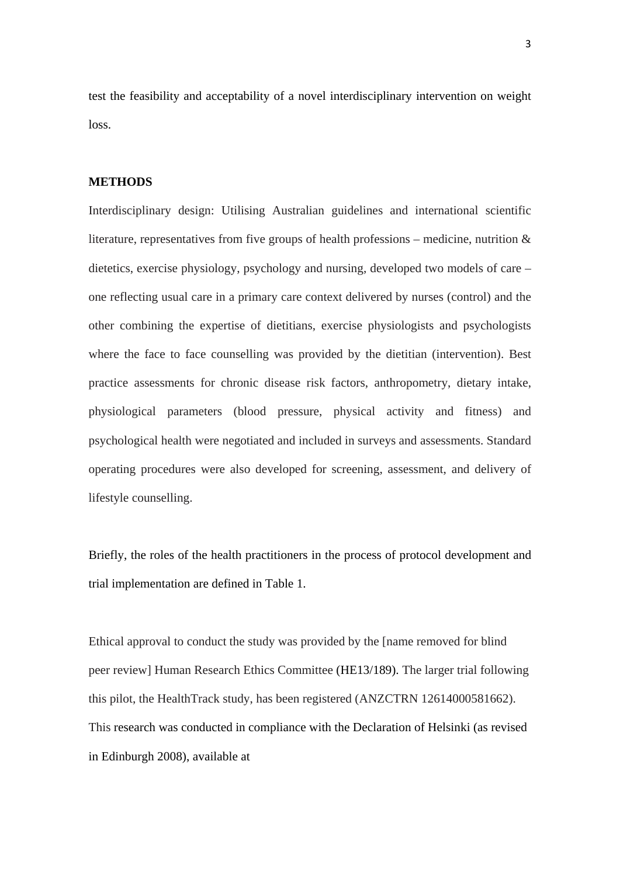test the feasibility and acceptability of a novel interdisciplinary intervention on weight loss.

#### **METHODS**

Interdisciplinary design: Utilising Australian guidelines and international scientific literature, representatives from five groups of health professions – medicine, nutrition  $\&$ dietetics, exercise physiology, psychology and nursing, developed two models of care – one reflecting usual care in a primary care context delivered by nurses (control) and the other combining the expertise of dietitians, exercise physiologists and psychologists where the face to face counselling was provided by the dietitian (intervention). Best practice assessments for chronic disease risk factors, anthropometry, dietary intake, physiological parameters (blood pressure, physical activity and fitness) and psychological health were negotiated and included in surveys and assessments. Standard operating procedures were also developed for screening, assessment, and delivery of lifestyle counselling.

Briefly, the roles of the health practitioners in the process of protocol development and trial implementation are defined in Table 1.

Ethical approval to conduct the study was provided by the [name removed for blind peer review] Human Research Ethics Committee (HE13/189). The larger trial following this pilot, the HealthTrack study, has been registered (ANZCTRN 12614000581662). This research was conducted in compliance with the Declaration of Helsinki (as revised in Edinburgh 2008), available at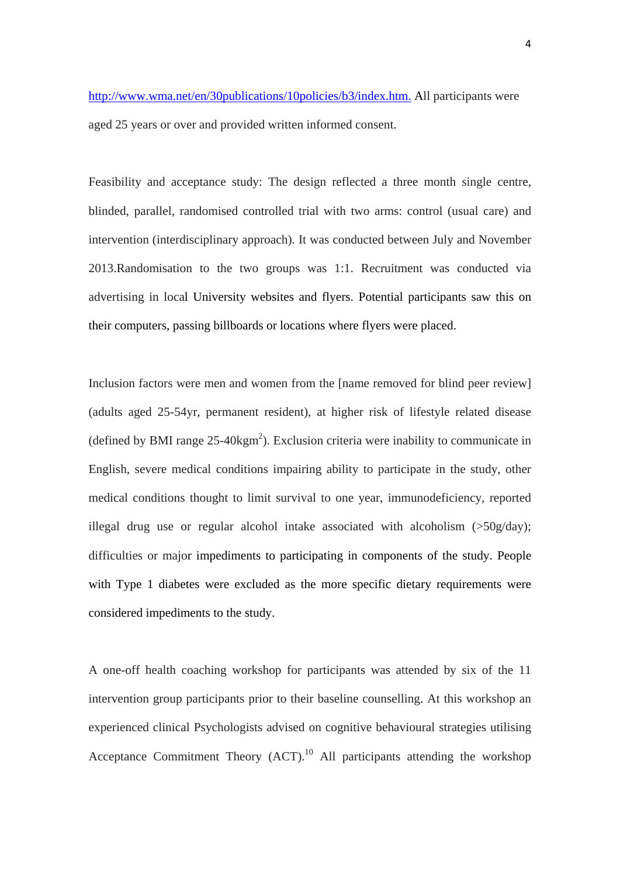http://www.wma.net/en/30publications/10policies/b3/index.htm. All participants were aged 25 years or over and provided written informed consent.

Feasibility and acceptance study: The design reflected a three month single centre, blinded, parallel, randomised controlled trial with two arms: control (usual care) and intervention (interdisciplinary approach). It was conducted between July and November 2013.Randomisation to the two groups was 1:1. Recruitment was conducted via advertising in local University websites and flyers. Potential participants saw this on their computers, passing billboards or locations where flyers were placed.

Inclusion factors were men and women from the [name removed for blind peer review] (adults aged 25-54yr, permanent resident), at higher risk of lifestyle related disease (defined by BMI range  $25-40\text{kgm}^2$ ). Exclusion criteria were inability to communicate in English, severe medical conditions impairing ability to participate in the study, other medical conditions thought to limit survival to one year, immunodeficiency, reported illegal drug use or regular alcohol intake associated with alcoholism (>50g/day); difficulties or major impediments to participating in components of the study. People with Type 1 diabetes were excluded as the more specific dietary requirements were considered impediments to the study.

A one-off health coaching workshop for participants was attended by six of the 11 intervention group participants prior to their baseline counselling. At this workshop an experienced clinical Psychologists advised on cognitive behavioural strategies utilising Acceptance Commitment Theory  $(ACT)$ <sup>10</sup> All participants attending the workshop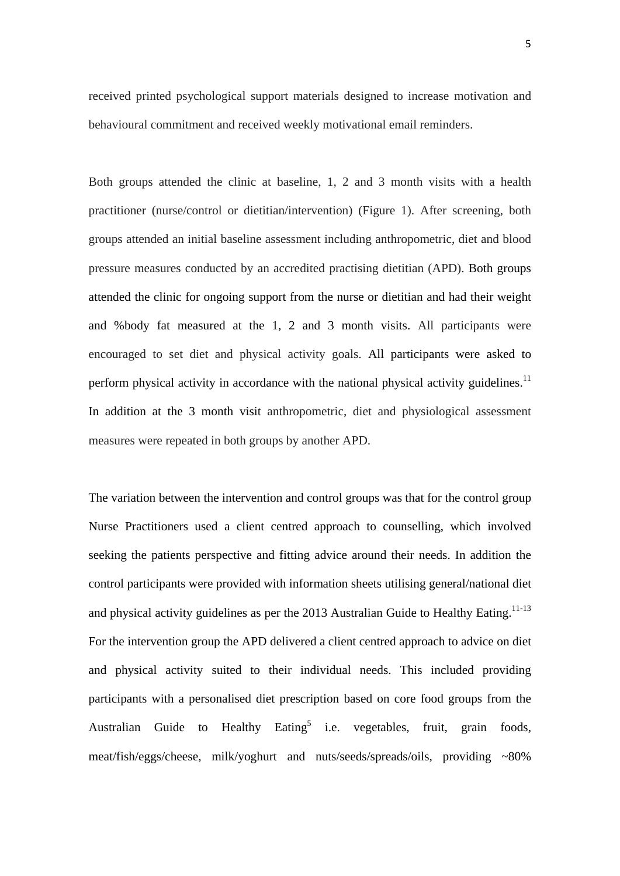received printed psychological support materials designed to increase motivation and behavioural commitment and received weekly motivational email reminders.

Both groups attended the clinic at baseline, 1, 2 and 3 month visits with a health practitioner (nurse/control or dietitian/intervention) (Figure 1). After screening, both groups attended an initial baseline assessment including anthropometric, diet and blood pressure measures conducted by an accredited practising dietitian (APD). Both groups attended the clinic for ongoing support from the nurse or dietitian and had their weight and %body fat measured at the 1, 2 and 3 month visits. All participants were encouraged to set diet and physical activity goals. All participants were asked to perform physical activity in accordance with the national physical activity guidelines.<sup>11</sup> In addition at the 3 month visit anthropometric, diet and physiological assessment measures were repeated in both groups by another APD.

The variation between the intervention and control groups was that for the control group Nurse Practitioners used a client centred approach to counselling, which involved seeking the patients perspective and fitting advice around their needs. In addition the control participants were provided with information sheets utilising general/national diet and physical activity guidelines as per the 2013 Australian Guide to Healthy Eating.<sup>11-13</sup> For the intervention group the APD delivered a client centred approach to advice on diet and physical activity suited to their individual needs. This included providing participants with a personalised diet prescription based on core food groups from the Australian Guide to Healthy Eating<sup>5</sup> i.e. vegetables, fruit, grain foods, meat/fish/eggs/cheese, milk/yoghurt and nuts/seeds/spreads/oils, providing ~80%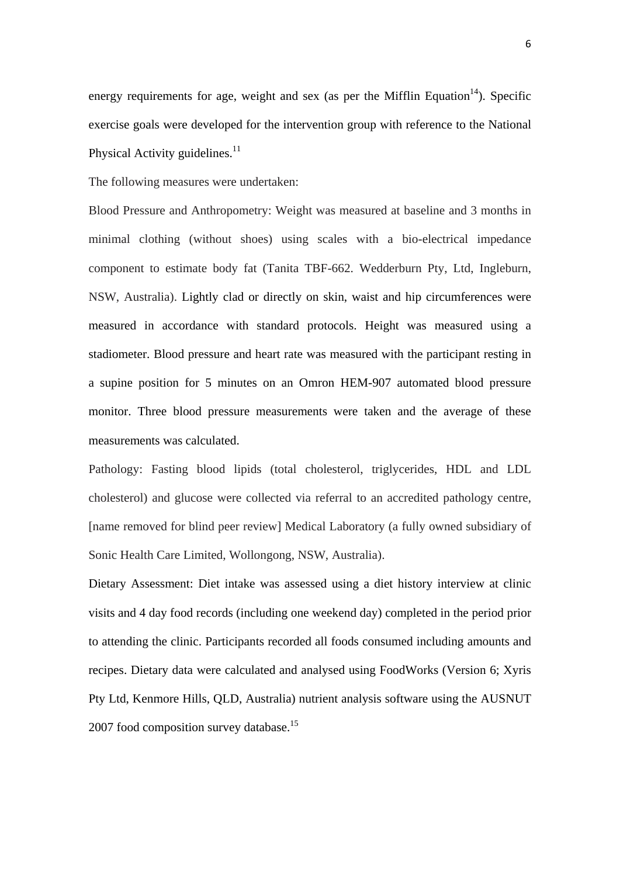energy requirements for age, weight and sex (as per the Mifflin Equation<sup>14</sup>). Specific exercise goals were developed for the intervention group with reference to the National Physical Activity guidelines.<sup>11</sup>

The following measures were undertaken:

Blood Pressure and Anthropometry: Weight was measured at baseline and 3 months in minimal clothing (without shoes) using scales with a bio-electrical impedance component to estimate body fat (Tanita TBF-662. Wedderburn Pty, Ltd, Ingleburn, NSW, Australia). Lightly clad or directly on skin, waist and hip circumferences were measured in accordance with standard protocols. Height was measured using a stadiometer. Blood pressure and heart rate was measured with the participant resting in a supine position for 5 minutes on an Omron HEM-907 automated blood pressure monitor. Three blood pressure measurements were taken and the average of these measurements was calculated.

Pathology: Fasting blood lipids (total cholesterol, triglycerides, HDL and LDL cholesterol) and glucose were collected via referral to an accredited pathology centre, [name removed for blind peer review] Medical Laboratory (a fully owned subsidiary of Sonic Health Care Limited, Wollongong, NSW, Australia).

Dietary Assessment: Diet intake was assessed using a diet history interview at clinic visits and 4 day food records (including one weekend day) completed in the period prior to attending the clinic. Participants recorded all foods consumed including amounts and recipes. Dietary data were calculated and analysed using FoodWorks (Version 6; Xyris Pty Ltd, Kenmore Hills, QLD, Australia) nutrient analysis software using the AUSNUT 2007 food composition survey database.<sup>15</sup>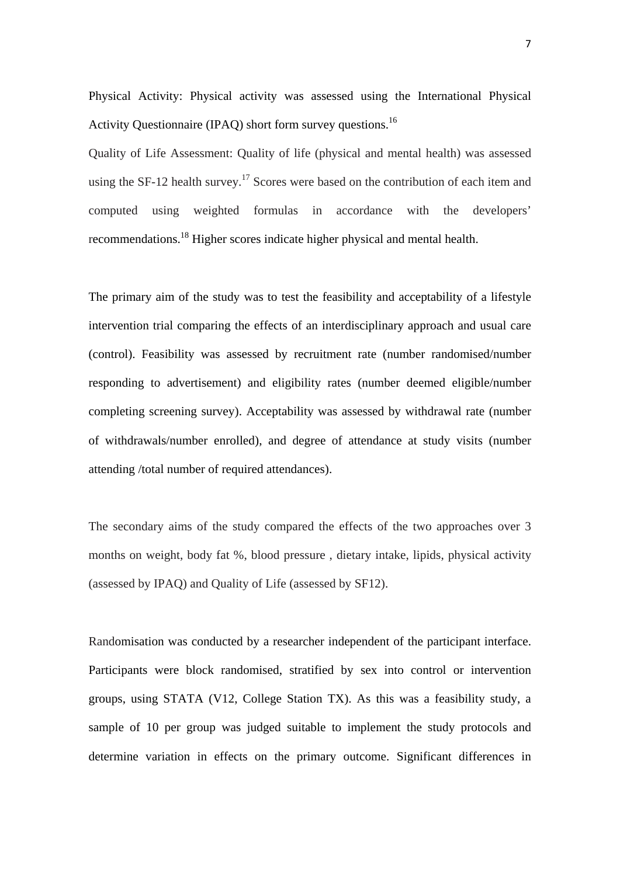Physical Activity: Physical activity was assessed using the International Physical Activity Questionnaire (IPAQ) short form survey questions.<sup>16</sup>

Quality of Life Assessment: Quality of life (physical and mental health) was assessed using the SF-12 health survey.<sup>17</sup> Scores were based on the contribution of each item and computed using weighted formulas in accordance with the developers' recommendations.18 Higher scores indicate higher physical and mental health.

The primary aim of the study was to test the feasibility and acceptability of a lifestyle intervention trial comparing the effects of an interdisciplinary approach and usual care (control). Feasibility was assessed by recruitment rate (number randomised/number responding to advertisement) and eligibility rates (number deemed eligible/number completing screening survey). Acceptability was assessed by withdrawal rate (number of withdrawals/number enrolled), and degree of attendance at study visits (number attending /total number of required attendances).

The secondary aims of the study compared the effects of the two approaches over 3 months on weight, body fat %, blood pressure , dietary intake, lipids, physical activity (assessed by IPAQ) and Quality of Life (assessed by SF12).

Randomisation was conducted by a researcher independent of the participant interface. Participants were block randomised, stratified by sex into control or intervention groups, using STATA (V12, College Station TX). As this was a feasibility study, a sample of 10 per group was judged suitable to implement the study protocols and determine variation in effects on the primary outcome. Significant differences in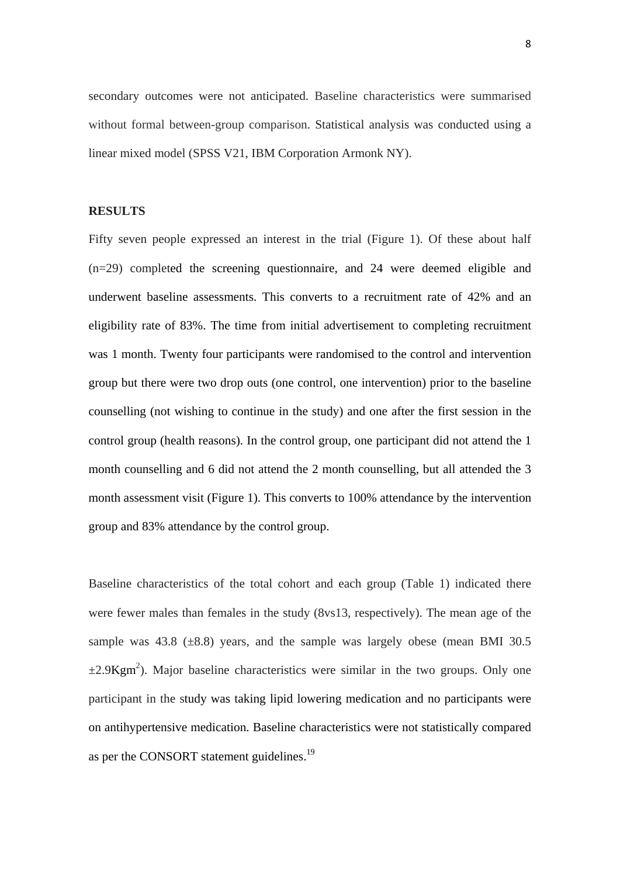secondary outcomes were not anticipated. Baseline characteristics were summarised without formal between-group comparison. Statistical analysis was conducted using a linear mixed model (SPSS V21, IBM Corporation Armonk NY).

#### **RESULTS**

Fifty seven people expressed an interest in the trial (Figure 1). Of these about half (n=29) completed the screening questionnaire, and 24 were deemed eligible and underwent baseline assessments. This converts to a recruitment rate of 42% and an eligibility rate of 83%. The time from initial advertisement to completing recruitment was 1 month. Twenty four participants were randomised to the control and intervention group but there were two drop outs (one control, one intervention) prior to the baseline counselling (not wishing to continue in the study) and one after the first session in the control group (health reasons). In the control group, one participant did not attend the 1 month counselling and 6 did not attend the 2 month counselling, but all attended the 3 month assessment visit (Figure 1). This converts to 100% attendance by the intervention group and 83% attendance by the control group.

Baseline characteristics of the total cohort and each group (Table 1) indicated there were fewer males than females in the study (8vs13, respectively). The mean age of the sample was  $43.8$  ( $\pm 8.8$ ) years, and the sample was largely obese (mean BMI 30.5)  $\pm 2.9$ Kgm<sup>2</sup>). Major baseline characteristics were similar in the two groups. Only one participant in the study was taking lipid lowering medication and no participants were on antihypertensive medication. Baseline characteristics were not statistically compared as per the CONSORT statement guidelines.<sup>19</sup>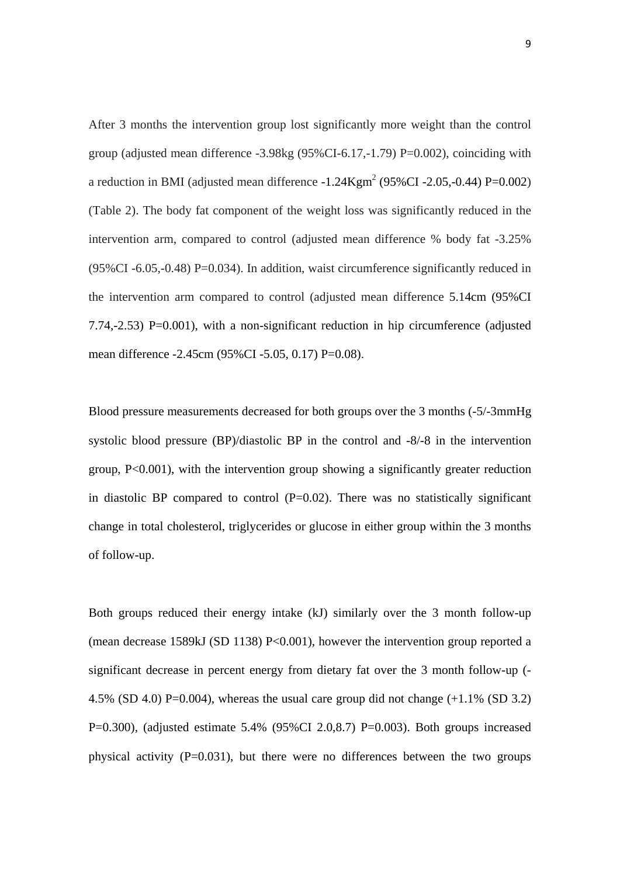After 3 months the intervention group lost significantly more weight than the control group (adjusted mean difference -3.98kg (95%CI-6.17,-1.79) P=0.002), coinciding with a reduction in BMI (adjusted mean difference  $-1.24$ Kgm<sup>2</sup> (95%CI  $-2.05$ ,  $-0.44$ ) P=0.002) (Table 2). The body fat component of the weight loss was significantly reduced in the intervention arm, compared to control (adjusted mean difference % body fat -3.25%  $(95\%CI - 6.05, -0.48) P = 0.034$ . In addition, waist circumference significantly reduced in the intervention arm compared to control (adjusted mean difference 5.14cm (95%CI 7.74,-2.53) P=0.001), with a non-significant reduction in hip circumference (adjusted mean difference -2.45cm (95%CI -5.05, 0.17) P=0.08).

Blood pressure measurements decreased for both groups over the 3 months (-5/-3mmHg systolic blood pressure (BP)/diastolic BP in the control and -8/-8 in the intervention group, P<0.001), with the intervention group showing a significantly greater reduction in diastolic BP compared to control  $(P=0.02)$ . There was no statistically significant change in total cholesterol, triglycerides or glucose in either group within the 3 months of follow-up.

Both groups reduced their energy intake (kJ) similarly over the 3 month follow-up (mean decrease 1589kJ (SD 1138) P<0.001), however the intervention group reported a significant decrease in percent energy from dietary fat over the 3 month follow-up (- 4.5% (SD 4.0) P=0.004), whereas the usual care group did not change  $(+1.1\%$  (SD 3.2) P=0.300), (adjusted estimate  $5.4\%$  (95%CI 2.0,8.7) P=0.003). Both groups increased physical activity  $(P=0.031)$ , but there were no differences between the two groups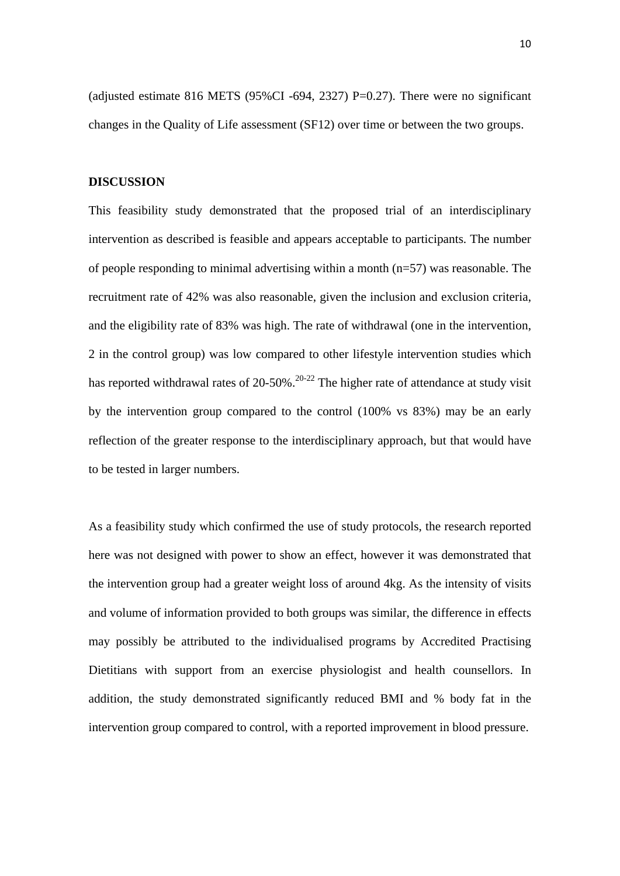(adjusted estimate 816 METS (95%CI -694, 2327) P=0.27). There were no significant changes in the Quality of Life assessment (SF12) over time or between the two groups.

#### **DISCUSSION**

This feasibility study demonstrated that the proposed trial of an interdisciplinary intervention as described is feasible and appears acceptable to participants. The number of people responding to minimal advertising within a month (n=57) was reasonable. The recruitment rate of 42% was also reasonable, given the inclusion and exclusion criteria, and the eligibility rate of 83% was high. The rate of withdrawal (one in the intervention, 2 in the control group) was low compared to other lifestyle intervention studies which has reported withdrawal rates of  $20-50\%$ .<sup>20-22</sup> The higher rate of attendance at study visit by the intervention group compared to the control (100% vs 83%) may be an early reflection of the greater response to the interdisciplinary approach, but that would have to be tested in larger numbers.

As a feasibility study which confirmed the use of study protocols, the research reported here was not designed with power to show an effect, however it was demonstrated that the intervention group had a greater weight loss of around 4kg. As the intensity of visits and volume of information provided to both groups was similar, the difference in effects may possibly be attributed to the individualised programs by Accredited Practising Dietitians with support from an exercise physiologist and health counsellors. In addition, the study demonstrated significantly reduced BMI and % body fat in the intervention group compared to control, with a reported improvement in blood pressure.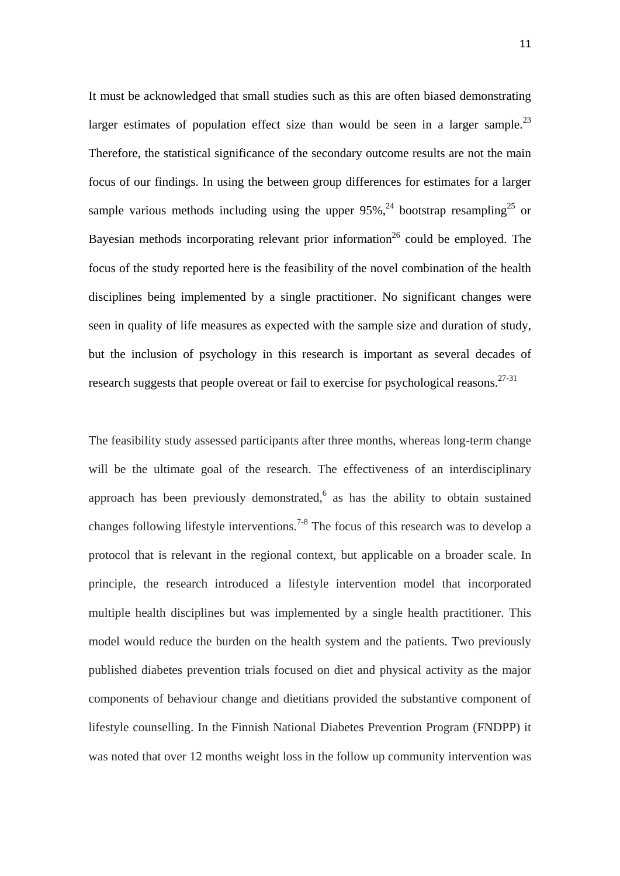It must be acknowledged that small studies such as this are often biased demonstrating larger estimates of population effect size than would be seen in a larger sample.<sup>23</sup> Therefore, the statistical significance of the secondary outcome results are not the main focus of our findings. In using the between group differences for estimates for a larger sample various methods including using the upper  $95\%$ ,<sup>24</sup> bootstrap resampling<sup>25</sup> or Bayesian methods incorporating relevant prior information<sup>26</sup> could be employed. The focus of the study reported here is the feasibility of the novel combination of the health disciplines being implemented by a single practitioner. No significant changes were seen in quality of life measures as expected with the sample size and duration of study, but the inclusion of psychology in this research is important as several decades of research suggests that people overeat or fail to exercise for psychological reasons.<sup>27-31</sup>

The feasibility study assessed participants after three months, whereas long-term change will be the ultimate goal of the research. The effectiveness of an interdisciplinary approach has been previously demonstrated, $6$  as has the ability to obtain sustained changes following lifestyle interventions.7-8 The focus of this research was to develop a protocol that is relevant in the regional context, but applicable on a broader scale. In principle, the research introduced a lifestyle intervention model that incorporated multiple health disciplines but was implemented by a single health practitioner. This model would reduce the burden on the health system and the patients. Two previously published diabetes prevention trials focused on diet and physical activity as the major components of behaviour change and dietitians provided the substantive component of lifestyle counselling. In the Finnish National Diabetes Prevention Program (FNDPP) it was noted that over 12 months weight loss in the follow up community intervention was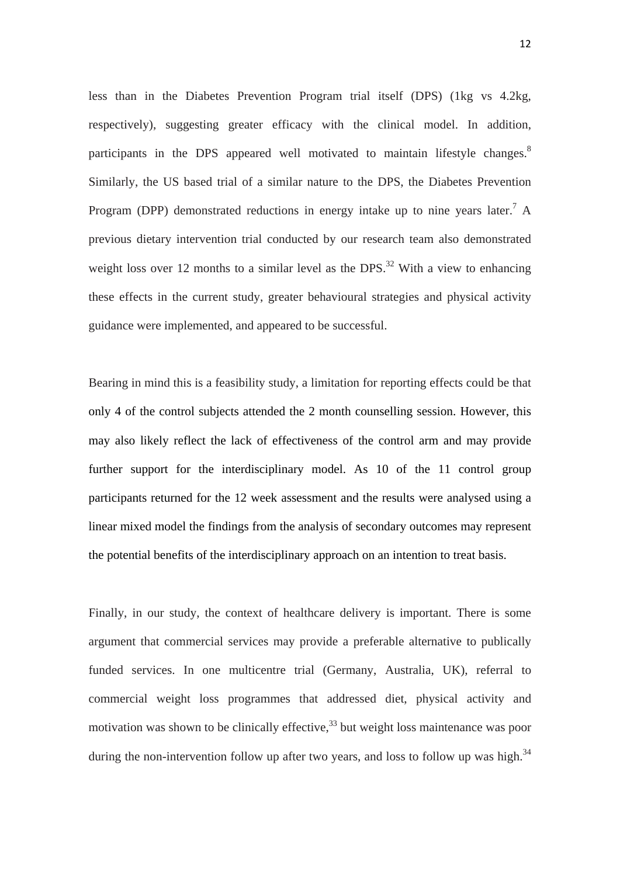less than in the Diabetes Prevention Program trial itself (DPS) (1kg vs 4.2kg, respectively), suggesting greater efficacy with the clinical model. In addition, participants in the DPS appeared well motivated to maintain lifestyle changes.<sup>8</sup> Similarly, the US based trial of a similar nature to the DPS, the Diabetes Prevention Program (DPP) demonstrated reductions in energy intake up to nine years later.<sup>7</sup> A previous dietary intervention trial conducted by our research team also demonstrated weight loss over 12 months to a similar level as the DPS.<sup>32</sup> With a view to enhancing these effects in the current study, greater behavioural strategies and physical activity guidance were implemented, and appeared to be successful.

Bearing in mind this is a feasibility study, a limitation for reporting effects could be that only 4 of the control subjects attended the 2 month counselling session. However, this may also likely reflect the lack of effectiveness of the control arm and may provide further support for the interdisciplinary model. As 10 of the 11 control group participants returned for the 12 week assessment and the results were analysed using a linear mixed model the findings from the analysis of secondary outcomes may represent the potential benefits of the interdisciplinary approach on an intention to treat basis.

Finally, in our study, the context of healthcare delivery is important. There is some argument that commercial services may provide a preferable alternative to publically funded services. In one multicentre trial (Germany, Australia, UK), referral to commercial weight loss programmes that addressed diet, physical activity and motivation was shown to be clinically effective,  $33$  but weight loss maintenance was poor during the non-intervention follow up after two years, and loss to follow up was high.<sup>34</sup>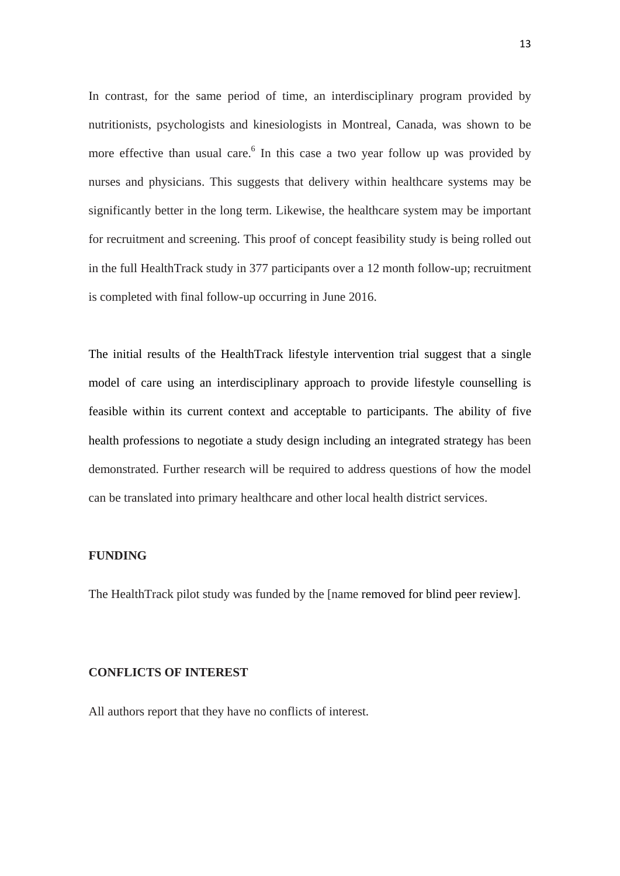In contrast, for the same period of time, an interdisciplinary program provided by nutritionists, psychologists and kinesiologists in Montreal, Canada, was shown to be more effective than usual care.<sup>6</sup> In this case a two year follow up was provided by nurses and physicians. This suggests that delivery within healthcare systems may be significantly better in the long term. Likewise, the healthcare system may be important for recruitment and screening. This proof of concept feasibility study is being rolled out in the full HealthTrack study in 377 participants over a 12 month follow-up; recruitment is completed with final follow-up occurring in June 2016.

The initial results of the HealthTrack lifestyle intervention trial suggest that a single model of care using an interdisciplinary approach to provide lifestyle counselling is feasible within its current context and acceptable to participants. The ability of five health professions to negotiate a study design including an integrated strategy has been demonstrated. Further research will be required to address questions of how the model can be translated into primary healthcare and other local health district services.

#### **FUNDING**

The HealthTrack pilot study was funded by the [name removed for blind peer review].

#### **CONFLICTS OF INTEREST**

All authors report that they have no conflicts of interest.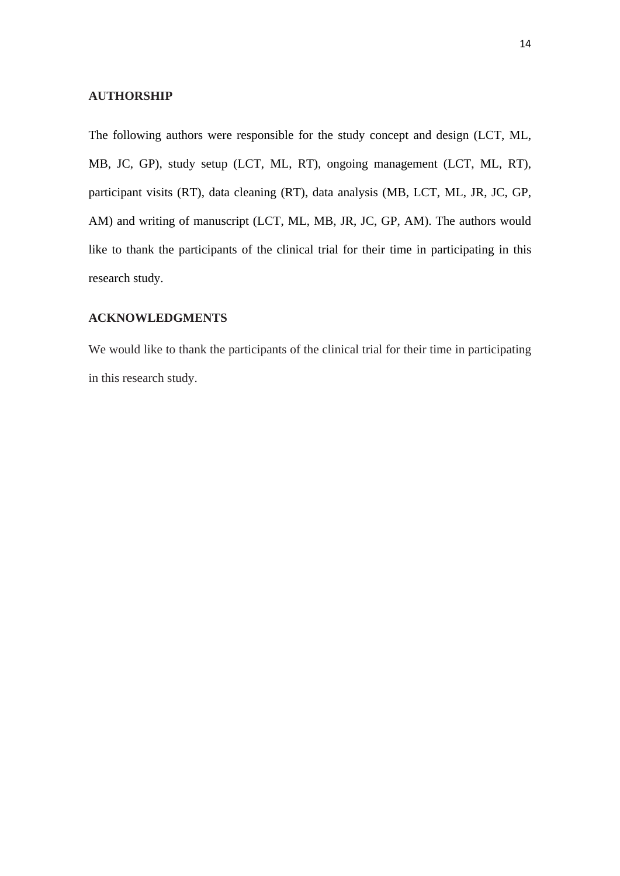#### **AUTHORSHIP**

The following authors were responsible for the study concept and design (LCT, ML, MB, JC, GP), study setup (LCT, ML, RT), ongoing management (LCT, ML, RT), participant visits (RT), data cleaning (RT), data analysis (MB, LCT, ML, JR, JC, GP, AM) and writing of manuscript (LCT, ML, MB, JR, JC, GP, AM). The authors would like to thank the participants of the clinical trial for their time in participating in this research study.

#### **ACKNOWLEDGMENTS**

We would like to thank the participants of the clinical trial for their time in participating in this research study.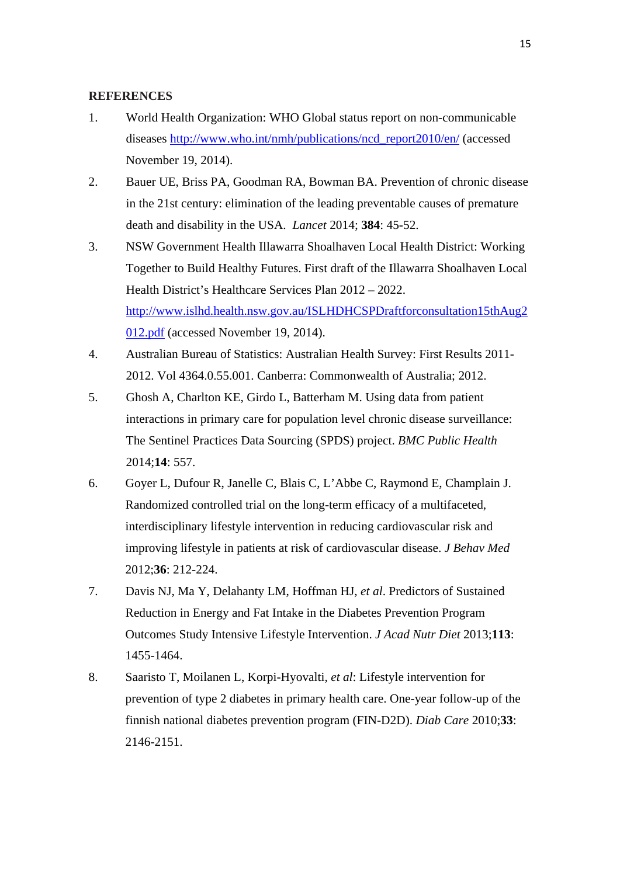#### **REFERENCES**

- 1. World Health Organization: WHO Global status report on non-communicable diseases http://www.who.int/nmh/publications/ncd\_report2010/en/ (accessed November 19, 2014).
- 2. Bauer UE, Briss PA, Goodman RA, Bowman BA. Prevention of chronic disease in the 21st century: elimination of the leading preventable causes of premature death and disability in the USA. *Lancet* 2014; **384**: 45-52.
- 3. NSW Government Health Illawarra Shoalhaven Local Health District: Working Together to Build Healthy Futures. First draft of the Illawarra Shoalhaven Local Health District's Healthcare Services Plan 2012 – 2022. http://www.islhd.health.nsw.gov.au/ISLHDHCSPDraftforconsultation15thAug2 012.pdf (accessed November 19, 2014).
- 4. Australian Bureau of Statistics: Australian Health Survey: First Results 2011- 2012. Vol 4364.0.55.001. Canberra: Commonwealth of Australia; 2012.
- 5. Ghosh A, Charlton KE, Girdo L, Batterham M. Using data from patient interactions in primary care for population level chronic disease surveillance: The Sentinel Practices Data Sourcing (SPDS) project. *BMC Public Health*  2014;**14**: 557.
- 6. Goyer L, Dufour R, Janelle C, Blais C, L'Abbe C, Raymond E, Champlain J. Randomized controlled trial on the long-term efficacy of a multifaceted, interdisciplinary lifestyle intervention in reducing cardiovascular risk and improving lifestyle in patients at risk of cardiovascular disease. *J Behav Med*  2012;**36**: 212-224.
- 7. Davis NJ, Ma Y, Delahanty LM, Hoffman HJ, *et al*. Predictors of Sustained Reduction in Energy and Fat Intake in the Diabetes Prevention Program Outcomes Study Intensive Lifestyle Intervention. *J Acad Nutr Diet* 2013;**113**: 1455-1464.
- 8. Saaristo T, Moilanen L, Korpi-Hyovalti, *et al*: Lifestyle intervention for prevention of type 2 diabetes in primary health care. One-year follow-up of the finnish national diabetes prevention program (FIN-D2D). *Diab Care* 2010;**33**: 2146-2151.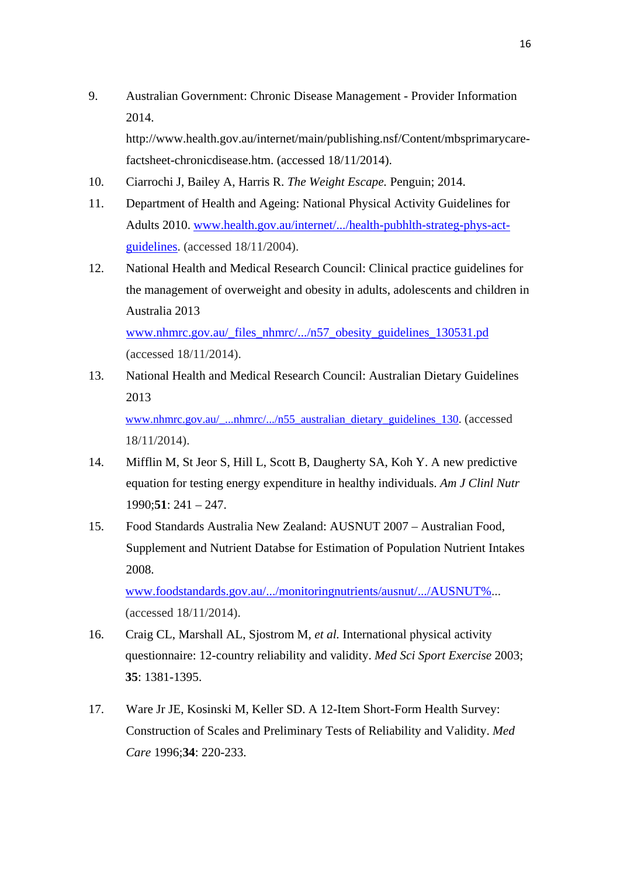9. Australian Government: Chronic Disease Management - Provider Information 2014. http://www.health.gov.au/internet/main/publishing.nsf/Content/mbsprimarycare-

10. Ciarrochi J, Bailey A, Harris R. *The Weight Escape.* Penguin; 2014.

factsheet-chronicdisease.htm. (accessed 18/11/2014).

- 11. Department of Health and Ageing: National Physical Activity Guidelines for Adults 2010. www.health.gov.au/internet/.../health-pubhlth-strateg-phys-actguidelines. (accessed 18/11/2004).
- 12. National Health and Medical Research Council: Clinical practice guidelines for the management of overweight and obesity in adults, adolescents and children in Australia 2013 www.nhmrc.gov.au/\_files\_nhmrc/.../n57\_obesity\_guidelines\_130531.pd

(accessed 18/11/2014).

18/11/2014).

13. National Health and Medical Research Council: Australian Dietary Guidelines 2013 www.nhmrc.gov.au/\_...nhmrc/.../n55\_australian\_dietary\_guidelines\_130. (accessed

14. Mifflin M, St Jeor S, Hill L, Scott B, Daugherty SA, Koh Y. A new predictive equation for testing energy expenditure in healthy individuals. *Am J Clinl Nutr*  1990;**51**: 241 – 247.

15. Food Standards Australia New Zealand: AUSNUT 2007 – Australian Food, Supplement and Nutrient Databse for Estimation of Population Nutrient Intakes 2008.

www.foodstandards.gov.au/.../monitoringnutrients/ausnut/.../AUSNUT%... (accessed 18/11/2014).

- 16. Craig CL, Marshall AL, Sjostrom M, *et al.* International physical activity questionnaire: 12-country reliability and validity. *Med Sci Sport Exercise* 2003; **35**: 1381-1395.
- 17. Ware Jr JE, Kosinski M, Keller SD. A 12-Item Short-Form Health Survey: Construction of Scales and Preliminary Tests of Reliability and Validity. *Med Care* 1996;**34**: 220-233.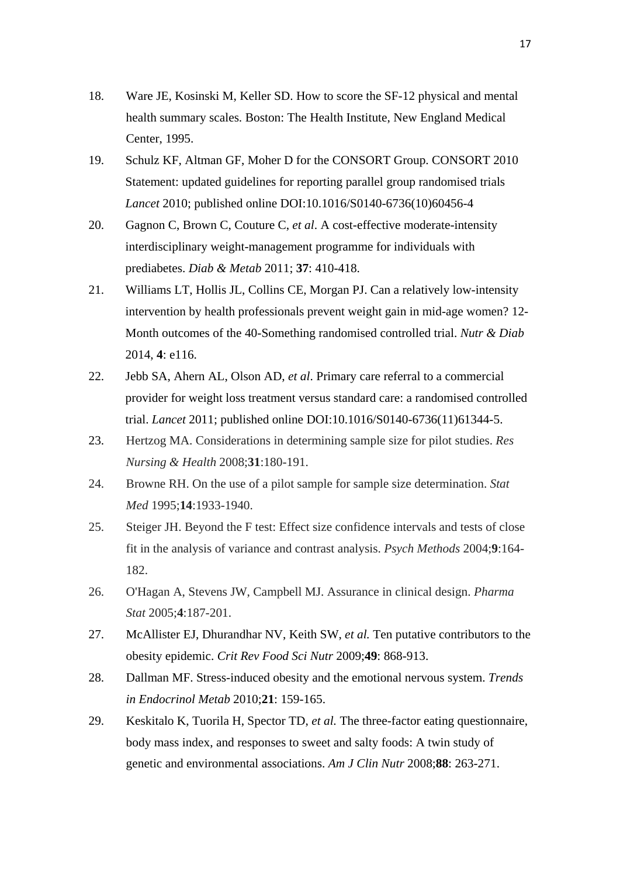- 18. Ware JE, Kosinski M, Keller SD. How to score the SF-12 physical and mental health summary scales*.* Boston: The Health Institute, New England Medical Center, 1995.
- 19. Schulz KF, Altman GF, Moher D for the CONSORT Group. CONSORT 2010 Statement: updated guidelines for reporting parallel group randomised trials *Lancet* 2010; published online DOI:10.1016/S0140-6736(10)60456-4
- 20. Gagnon C, Brown C, Couture C, *et al*. A cost-effective moderate-intensity interdisciplinary weight-management programme for individuals with prediabetes. *Diab & Metab* 2011; **37**: 410-418.
- 21. Williams LT, Hollis JL, Collins CE, Morgan PJ. Can a relatively low-intensity intervention by health professionals prevent weight gain in mid-age women? 12- Month outcomes of the 40-Something randomised controlled trial. *Nutr & Diab* 2014, **4**: e116.
- 22. Jebb SA, Ahern AL, Olson AD, *et al*. Primary care referral to a commercial provider for weight loss treatment versus standard care: a randomised controlled trial. *Lancet* 2011; published online DOI:10.1016/S0140-6736(11)61344-5.
- 23. Hertzog MA. Considerations in determining sample size for pilot studies. *Res Nursing & Health* 2008;**31**:180-191.
- 24. Browne RH. On the use of a pilot sample for sample size determination. *Stat Med* 1995;**14**:1933-1940.
- 25. Steiger JH. Beyond the F test: Effect size confidence intervals and tests of close fit in the analysis of variance and contrast analysis. *Psych Methods* 2004;**9**:164- 182.
- 26. O'Hagan A, Stevens JW, Campbell MJ. Assurance in clinical design. *Pharma Stat* 2005;**4**:187-201.
- 27. McAllister EJ, Dhurandhar NV, Keith SW, *et al.* Ten putative contributors to the obesity epidemic. *Crit Rev Food Sci Nutr* 2009;**49**: 868-913.
- 28. Dallman MF. Stress-induced obesity and the emotional nervous system. *Trends in Endocrinol Metab* 2010;**21**: 159-165.
- 29. Keskitalo K, Tuorila H, Spector TD, *et al.* The three-factor eating questionnaire, body mass index, and responses to sweet and salty foods: A twin study of genetic and environmental associations. *Am J Clin Nutr* 2008;**88**: 263-271.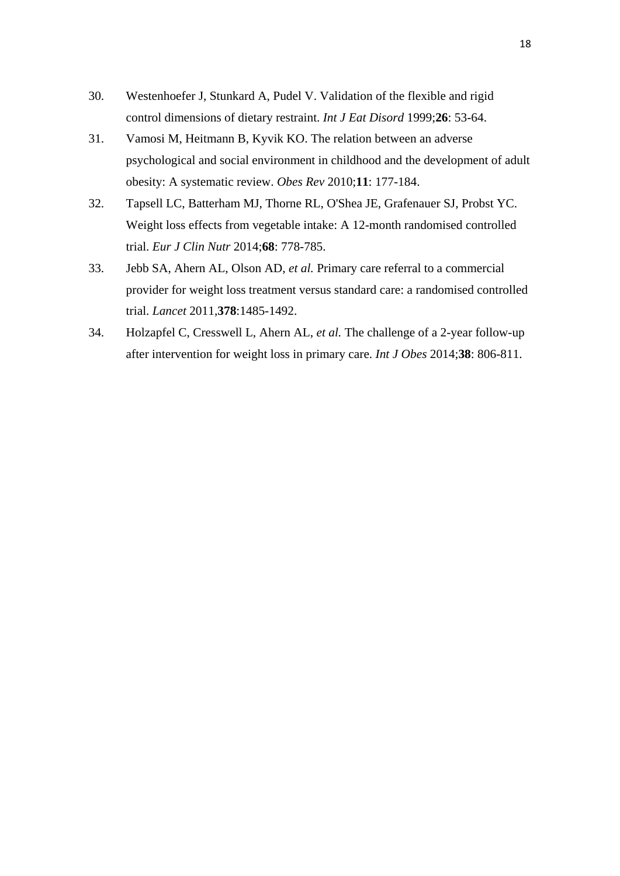- 30. Westenhoefer J, Stunkard A, Pudel V. Validation of the flexible and rigid control dimensions of dietary restraint. *Int J Eat Disord* 1999;**26**: 53-64.
- 31. Vamosi M, Heitmann B, Kyvik KO. The relation between an adverse psychological and social environment in childhood and the development of adult obesity: A systematic review. *Obes Rev* 2010;**11**: 177-184.
- 32. Tapsell LC, Batterham MJ, Thorne RL, O'Shea JE, Grafenauer SJ, Probst YC. Weight loss effects from vegetable intake: A 12-month randomised controlled trial. *Eur J Clin Nutr* 2014;**68**: 778-785.
- 33. Jebb SA, Ahern AL, Olson AD, *et al.* Primary care referral to a commercial provider for weight loss treatment versus standard care: a randomised controlled trial. *Lancet* 2011,**378**:1485-1492.
- 34. Holzapfel C, Cresswell L, Ahern AL, *et al.* The challenge of a 2-year follow-up after intervention for weight loss in primary care. *Int J Obes* 2014;**38**: 806-811.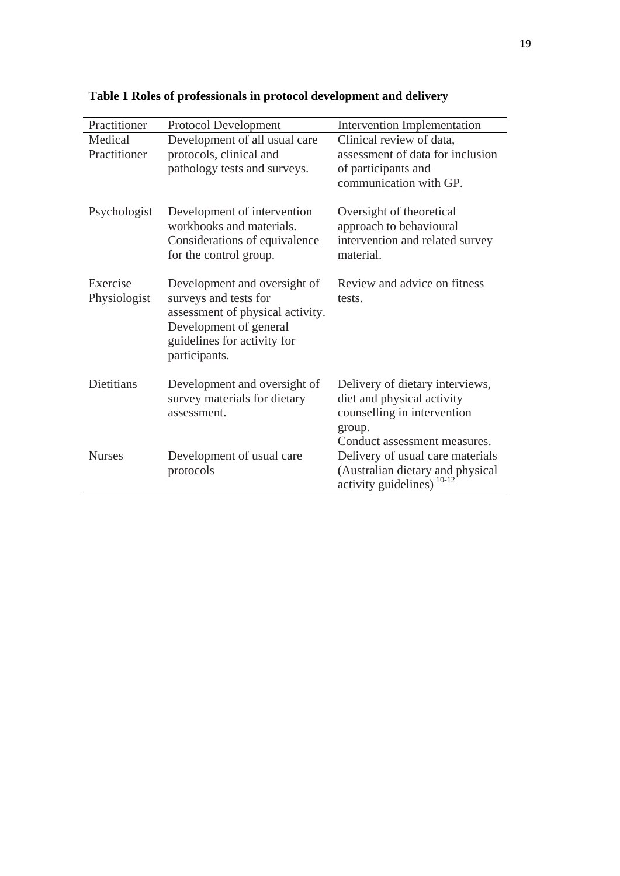| Practitioner      | Protocol Development             | <b>Intervention Implementation</b> |
|-------------------|----------------------------------|------------------------------------|
| Medical           | Development of all usual care    | Clinical review of data,           |
| Practitioner      | protocols, clinical and          | assessment of data for inclusion   |
|                   | pathology tests and surveys.     | of participants and                |
|                   |                                  | communication with GP.             |
|                   |                                  |                                    |
| Psychologist      | Development of intervention      | Oversight of theoretical           |
|                   | workbooks and materials.         | approach to behavioural            |
|                   | Considerations of equivalence    | intervention and related survey    |
|                   | for the control group.           | material.                          |
|                   |                                  |                                    |
| Exercise          | Development and oversight of     | Review and advice on fitness       |
| Physiologist      | surveys and tests for            | tests.                             |
|                   | assessment of physical activity. |                                    |
|                   | Development of general           |                                    |
|                   | guidelines for activity for      |                                    |
|                   | participants.                    |                                    |
|                   |                                  |                                    |
| <b>Dietitians</b> | Development and oversight of     | Delivery of dietary interviews,    |
|                   | survey materials for dietary     | diet and physical activity         |
|                   | assessment.                      | counselling in intervention        |
|                   |                                  | group.                             |
|                   |                                  | Conduct assessment measures.       |
| <b>Nurses</b>     | Development of usual care        | Delivery of usual care materials   |
|                   | protocols                        | (Australian dietary and physical   |
|                   |                                  | activity guidelines)               |

**Table 1 Roles of professionals in protocol development and delivery**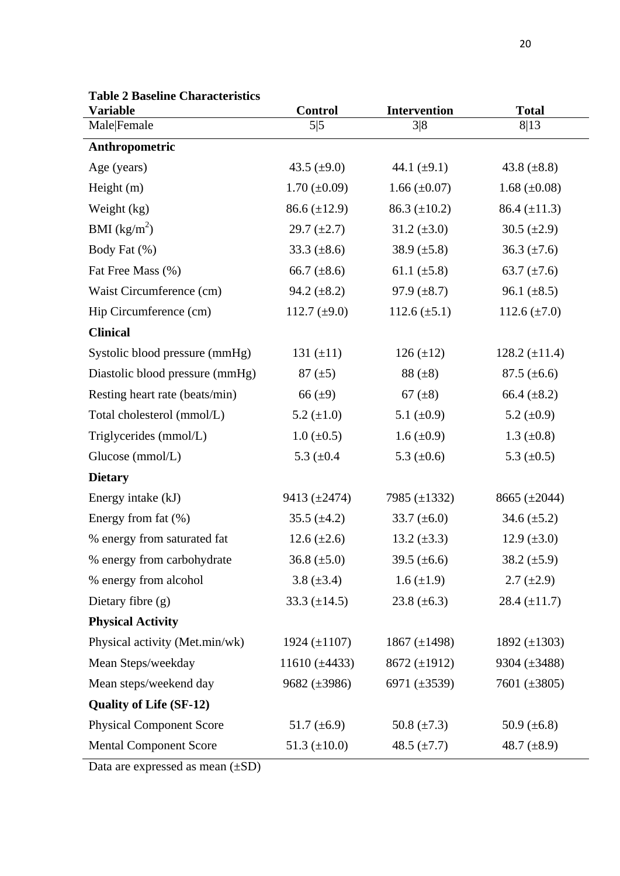| <b>Variable</b>                 | <b>Control</b>      | <b>Intervention</b> | <b>Total</b>       |
|---------------------------------|---------------------|---------------------|--------------------|
| Male Female                     | 5 5                 | 3 8                 | 8 13               |
| Anthropometric                  |                     |                     |                    |
| Age (years)                     | 43.5 $(\pm 9.0)$    | 44.1 $(\pm 9.1)$    | 43.8 $(\pm 8.8)$   |
| Height $(m)$                    | $1.70 \ (\pm 0.09)$ | $1.66 \ (\pm 0.07)$ | 1.68 $(\pm 0.08)$  |
| Weight $(kg)$                   | $86.6 (\pm 12.9)$   | 86.3 $(\pm 10.2)$   | 86.4 $(\pm 11.3)$  |
| BMI $(kg/m^2)$                  | 29.7 $(\pm 2.7)$    | 31.2 $(\pm 3.0)$    | 30.5 $(\pm 2.9)$   |
| Body Fat (%)                    | 33.3 $(\pm 8.6)$    | 38.9 $(\pm 5.8)$    | $36.3 \ (\pm 7.6)$ |
| Fat Free Mass (%)               | 66.7 $(\pm 8.6)$    | 61.1 $(\pm 5.8)$    | 63.7 $(\pm 7.6)$   |
| Waist Circumference (cm)        | 94.2 $(\pm 8.2)$    | 97.9 $(\pm 8.7)$    | 96.1 $(\pm 8.5)$   |
| Hip Circumference (cm)          | 112.7 $(\pm 9.0)$   | $112.6 \ (\pm 5.1)$ | 112.6 $(\pm 7.0)$  |
| <b>Clinical</b>                 |                     |                     |                    |
| Systolic blood pressure (mmHg)  | 131 $(\pm 11)$      | $126 (\pm 12)$      | 128.2 $(\pm 11.4)$ |
| Diastolic blood pressure (mmHg) | $87 (\pm 5)$        | $88 (\pm 8)$        | $87.5 (\pm 6.6)$   |
| Resting heart rate (beats/min)  | $66 (\pm 9)$        | 67 $(\pm 8)$        | 66.4 $(\pm 8.2)$   |
| Total cholesterol (mmol/L)      | 5.2 $(\pm 1.0)$     | 5.1 $(\pm 0.9)$     | 5.2 $(\pm 0.9)$    |
| Triglycerides (mmol/L)          | $1.0 \ (\pm 0.5)$   | $1.6 \ (\pm 0.9)$   | 1.3 $(\pm 0.8)$    |
| Glucose (mmol/L)                | 5.3 $(\pm 0.4)$     | 5.3 $(\pm 0.6)$     | 5.3 $(\pm 0.5)$    |
| <b>Dietary</b>                  |                     |                     |                    |
| Energy intake (kJ)              | 9413 $(\pm 2474)$   | 7985 (±1332)        | 8665 $(\pm 2044)$  |
| Energy from fat $(\%)$          | 35.5 $(\pm 4.2)$    | 33.7 $(\pm 6.0)$    | 34.6 $(\pm 5.2)$   |
| % energy from saturated fat     | 12.6 $(\pm 2.6)$    | 13.2 $(\pm 3.3)$    | 12.9 $(\pm 3.0)$   |
| % energy from carbohydrate      | 36.8 $(\pm 5.0)$    | 39.5 $(\pm 6.6)$    | 38.2 $(\pm 5.9)$   |
| % energy from alcohol           | 3.8 $(\pm 3.4)$     | $1.6 (\pm 1.9)$     | $2.7 \ (\pm 2.9)$  |
| Dietary fibre (g)               | 33.3 $(\pm 14.5)$   | 23.8 $(\pm 6.3)$    | 28.4 $(\pm 11.7)$  |
| <b>Physical Activity</b>        |                     |                     |                    |
| Physical activity (Met.min/wk)  | 1924 $(\pm 1107)$   | 1867 $(\pm 1498)$   | 1892 $(\pm 1303)$  |
| Mean Steps/weekday              | 11610 $(\pm 4433)$  | 8672 (±1912)        | 9304 $(\pm 3488)$  |
| Mean steps/weekend day          | 9682 $(\pm 3986)$   | 6971 (±3539)        | 7601 $(\pm 3805)$  |
| <b>Quality of Life (SF-12)</b>  |                     |                     |                    |
| <b>Physical Component Score</b> | 51.7 $(\pm 6.9)$    | 50.8 $(\pm 7.3)$    | 50.9 $(\pm 6.8)$   |
| <b>Mental Component Score</b>   | 51.3 $(\pm 10.0)$   | 48.5 $(\pm 7.7)$    | 48.7 $(\pm 8.9)$   |

**Table 2 Baseline Characteristics** 

Data are expressed as mean (±SD)